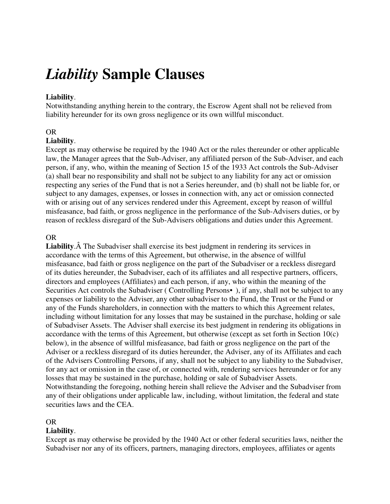# *Liability* **Sample Clauses**

## **Liability**.

Notwithstanding anything herein to the contrary, the Escrow Agent shall not be relieved from liability hereunder for its own gross negligence or its own willful misconduct.

#### OR

### **Liability**.

Except as may otherwise be required by the 1940 Act or the rules thereunder or other applicable law, the Manager agrees that the Sub-Adviser, any affiliated person of the Sub-Adviser, and each person, if any, who, within the meaning of Section 15 of the 1933 Act controls the Sub-Adviser (a) shall bear no responsibility and shall not be subject to any liability for any act or omission respecting any series of the Fund that is not a Series hereunder, and (b) shall not be liable for, or subject to any damages, expenses, or losses in connection with, any act or omission connected with or arising out of any services rendered under this Agreement, except by reason of willful misfeasance, bad faith, or gross negligence in the performance of the Sub-Advisers duties, or by reason of reckless disregard of the Sub-Advisers obligations and duties under this Agreement.

#### OR

**Liability.** A The Subadviser shall exercise its best judgment in rendering its services in accordance with the terms of this Agreement, but otherwise, in the absence of willful misfeasance, bad faith or gross negligence on the part of the Subadviser or a reckless disregard of its duties hereunder, the Subadviser, each of its affiliates and all respective partners, officers, directors and employees (Affiliates) and each person, if any, who within the meaning of the Securities Act controls the Subadviser (Controlling Persons•), if any, shall not be subject to any expenses or liability to the Adviser, any other subadviser to the Fund, the Trust or the Fund or any of the Funds shareholders, in connection with the matters to which this Agreement relates, including without limitation for any losses that may be sustained in the purchase, holding or sale of Subadviser Assets. The Adviser shall exercise its best judgment in rendering its obligations in accordance with the terms of this Agreement, but otherwise (except as set forth in Section 10(c) below), in the absence of willful misfeasance, bad faith or gross negligence on the part of the Adviser or a reckless disregard of its duties hereunder, the Adviser, any of its Affiliates and each of the Advisers Controlling Persons, if any, shall not be subject to any liability to the Subadviser, for any act or omission in the case of, or connected with, rendering services hereunder or for any losses that may be sustained in the purchase, holding or sale of Subadviser Assets. Notwithstanding the foregoing, nothing herein shall relieve the Adviser and the Subadviser from any of their obligations under applicable law, including, without limitation, the federal and state securities laws and the CEA.

#### OR

### **Liability**.

Except as may otherwise be provided by the 1940 Act or other federal securities laws, neither the Subadviser nor any of its officers, partners, managing directors, employees, affiliates or agents